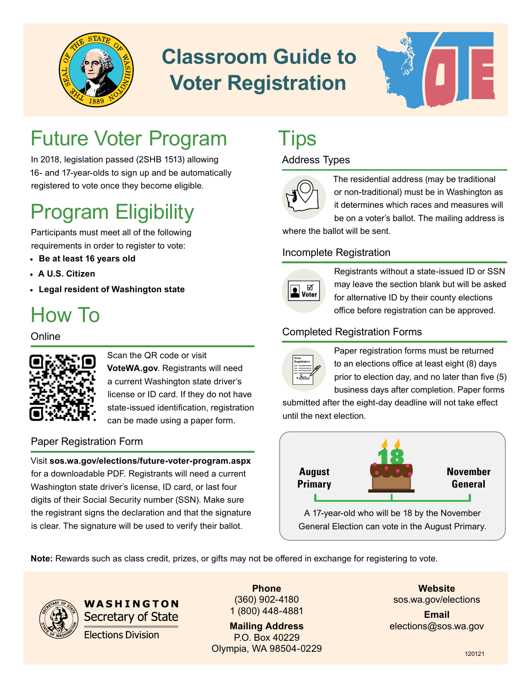

# **Classroom Guide to Voter Registration**



## Future Voter Program

In 2018, legislation passed (2SHB 1513) allowing 16- and 17-year-olds to sign up and be automatically registered to vote once they become eligible.

## Program Eligibility

Participants must meet all of the following requirements in order to register to vote:

- **• Be at least 16 years old**
- **• A U.S. Citizen**
- **• Legal resident of Washington state**

## How To

### **Online**



Scan the QR code or visit **[VoteWA.gov](http://votewa.gov/)**. Registrants will need a current Washington state driver's license or ID card. If they do not have state-issued identification, registration can be made using a paper form.

### Paper Registration Form

Visit **[sos.wa.gov/elections/future-voter-program.aspx](http://sos.wa.gov/elections/future-voter-program.aspx)**  for a downloadable PDF. Registrants will need a current Washington state driver's license, ID card, or last four digits of their Social Security number (SSN). Make sure the registrant signs the declaration and that the signature is clear. The signature will be used to verify their ballot.

### **Tips**

### Address Types



The residential address (may be traditional or non-traditional) must be in Washington as it determines which races and measures will

be on a voter's ballot. The mailing address is where the ballot will be sent.

### Incomplete Registration



Registrants without a state-issued ID or SSN may leave the section blank but will be asked for alternative ID by their county elections office before registration can be approved.

### Completed Registration Forms



Paper registration forms must be returned to an elections office at least eight (8) days prior to election day, and no later than five (5) business days after completion. Paper forms

submitted after the eight-day deadline will not take effect until the next election.



A 17-year-old who will be 18 by the November General Election can vote in the August Primary.

**Note:** Rewards such as class credit, prizes, or gifts may not be offered in exchange for registering to vote.



WASHINGTON **Secretary of State Elections Division** 

**Phone** (360) 902-4180 1 (800) 448-4881

**Mailing Address** P.O. Box 40229 Olympia, WA 98504-0229

**Website** [sos.wa.gov/elections](http://sos.wa.gov/elections)

**Email** [elections@sos.wa.gov](mailto:elections%40sos.wa.gov?subject=)